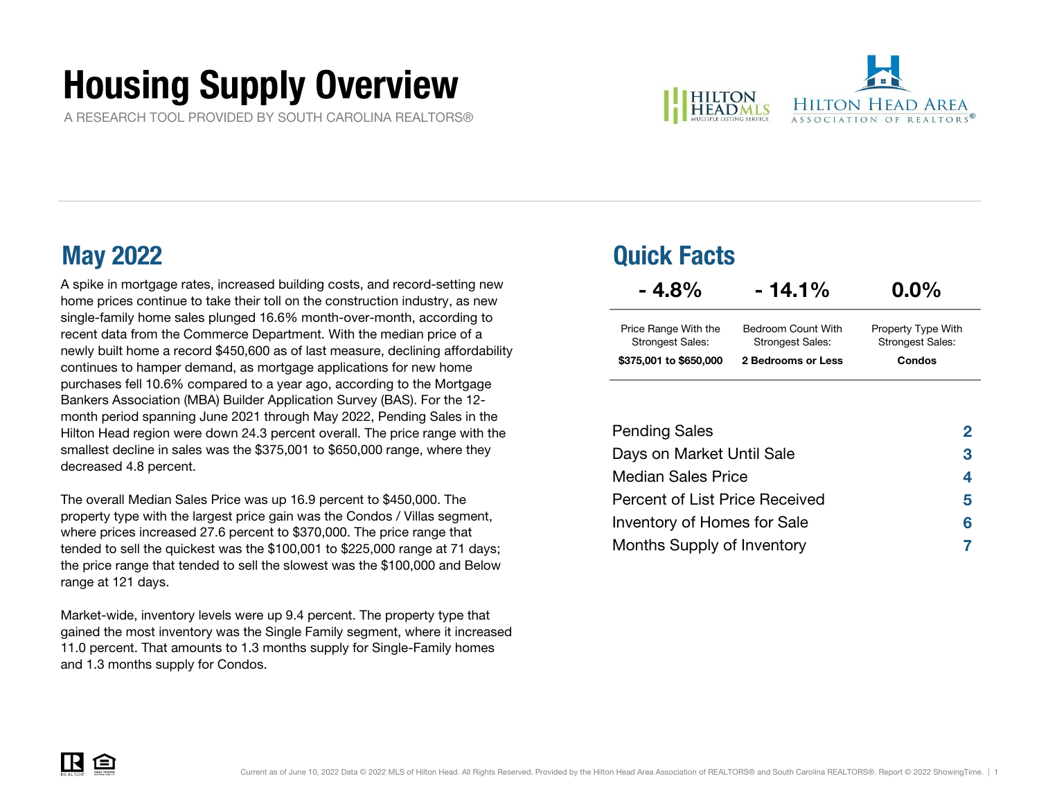# Housing Supply Overview

A RESEARCH TOOL PROVIDED BY SOUTH CAROLINA REALTORS®



A spike in mortgage rates, increased building costs, and record-setting new home prices continue to take their toll on the construction industry, as new single-family home sales plunged 16.6% month-over-month, according to recent data from the Commerce Department. With the median price of a newly built home a record \$450,600 as of last measure, declining affordability continues to hamper demand, as mortgage applications for new home purchases fell 10.6% compared to a year ago, according to the Mortgage Bankers Association (MBA) Builder Application Survey (BAS). For the 12 month period spanning June 2021 through May 2022, Pending Sales in the Hilton Head region were down 24.3 percent overall. The price range with the smallest decline in sales was the \$375,001 to \$650,000 range, where they decreased 4.8 percent.

The overall Median Sales Price was up 16.9 percent to \$450,000. The property type with the largest price gain was the Condos / Villas segment, where prices increased 27.6 percent to \$370,000. The price range that tended to sell the quickest was the \$100,001 to \$225,000 range at 71 days; the price range that tended to sell the slowest was the \$100,000 and Below range at 121 days.

Market-wide, inventory levels were up 9.4 percent. The property type that gained the most inventory was the Single Family segment, where it increased 11.0 percent. That amounts to 1.3 months supply for Single-Family homes and 1.3 months supply for Condos.

## May 2022 Quick Facts

| $-4.8\%$                                        | $-14.1\%$                                     | $0.0\%$                                       |
|-------------------------------------------------|-----------------------------------------------|-----------------------------------------------|
| Price Range With the<br><b>Strongest Sales:</b> | Bedroom Count With<br><b>Strongest Sales:</b> | Property Type With<br><b>Strongest Sales:</b> |
| \$375,001 to \$650,000                          | 2 Bedrooms or Less                            | Condos                                        |

| <b>Pending Sales</b>                  |   |
|---------------------------------------|---|
| Days on Market Until Sale             | 3 |
| <b>Median Sales Price</b>             | 4 |
| <b>Percent of List Price Received</b> | 5 |
| Inventory of Homes for Sale           | 6 |
| Months Supply of Inventory            |   |

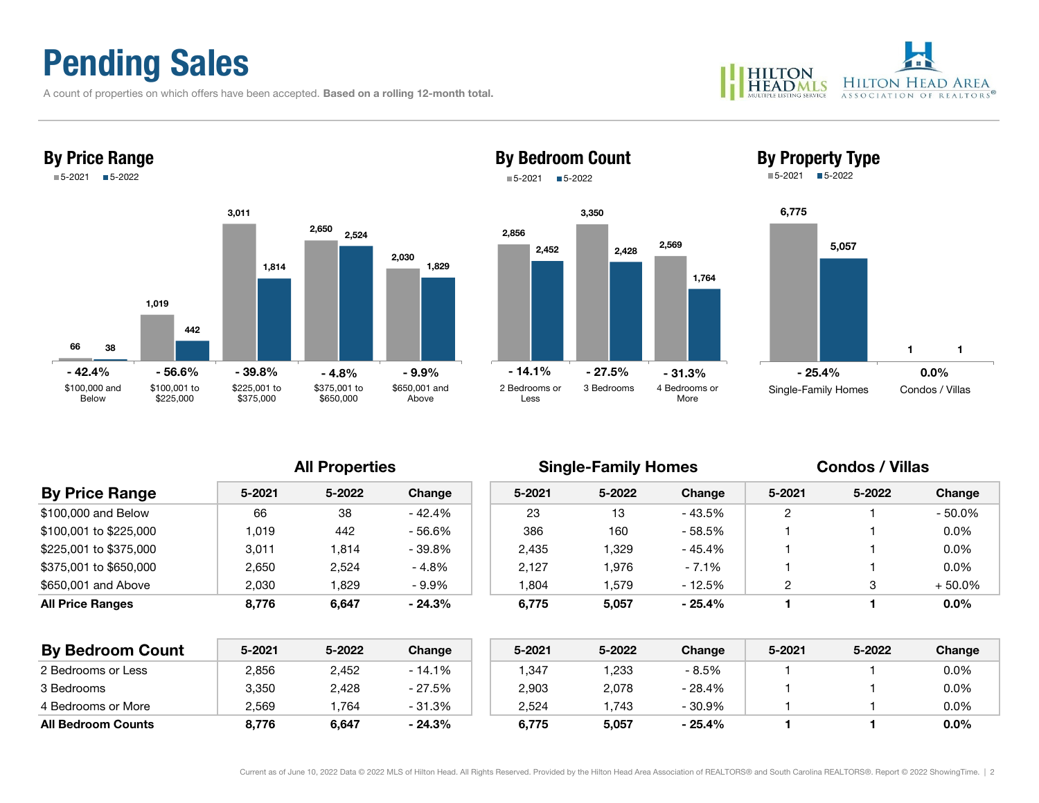## Pending Sales

By Price Range

A count of properties on which offers have been accepted. Based on a rolling 12-month total.







By Bedroom Count



| <b>By Price Range</b>   | $5 - 2021$ | 5-2022 | Change   | 5-2021 | 5-2022 | Change   | $5 - 2021$ | 5-2022 | Change    |
|-------------------------|------------|--------|----------|--------|--------|----------|------------|--------|-----------|
| \$100,000 and Below     | 66         | 38     | - 42.4%  | 23     | 13     | - 43.5%  | 2          |        | $-50.0\%$ |
| \$100,001 to \$225,000  | 1.019      | 442    | - 56.6%  | 386    | 160    | - 58.5%  |            |        | $0.0\%$   |
| \$225,001 to \$375,000  | 3.011      | 814.   | $-39.8%$ | 2.435  | .329   | - 45.4%  |            |        | $0.0\%$   |
| \$375,001 to \$650,000  | 2,650      | 2,524  | - 4.8%   | 2,127  | 1,976  | $-7.1\%$ |            |        | $0.0\%$   |
| \$650,001 and Above     | 2.030      | .829   | - 9.9%   | .804   | .579   | $-12.5%$ | 2          |        | $+50.0\%$ |
| <b>All Price Ranges</b> | 8,776      | 6,647  | $-24.3%$ | 6,775  | 5,057  | $-25.4%$ |            |        | $0.0\%$   |

| <b>By Bedroom Count</b>   | 5-2021 | 5-2022 | Change  | 5-2021 | 5-2022 | Change    | 5-2021 | 5-2022 | Change  |
|---------------------------|--------|--------|---------|--------|--------|-----------|--------|--------|---------|
| 2 Bedrooms or Less        | 2,856  | 2,452  | - 14.1% | 1,347  | .233   | $-8.5%$   |        |        | $0.0\%$ |
| 3 Bedrooms                | 3,350  | 2,428  | - 27.5% | 2,903  | 2,078  | $-28.4%$  |        |        | $0.0\%$ |
| 4 Bedrooms or More        | 2.569  | .764   | - 31.3% | 2.524  | .743   | - 30.9%   |        |        | $0.0\%$ |
| <b>All Bedroom Counts</b> | 8,776  | 6.647  | - 24.3% | 6,775  | 5.057  | $-25.4\%$ |        |        | $0.0\%$ |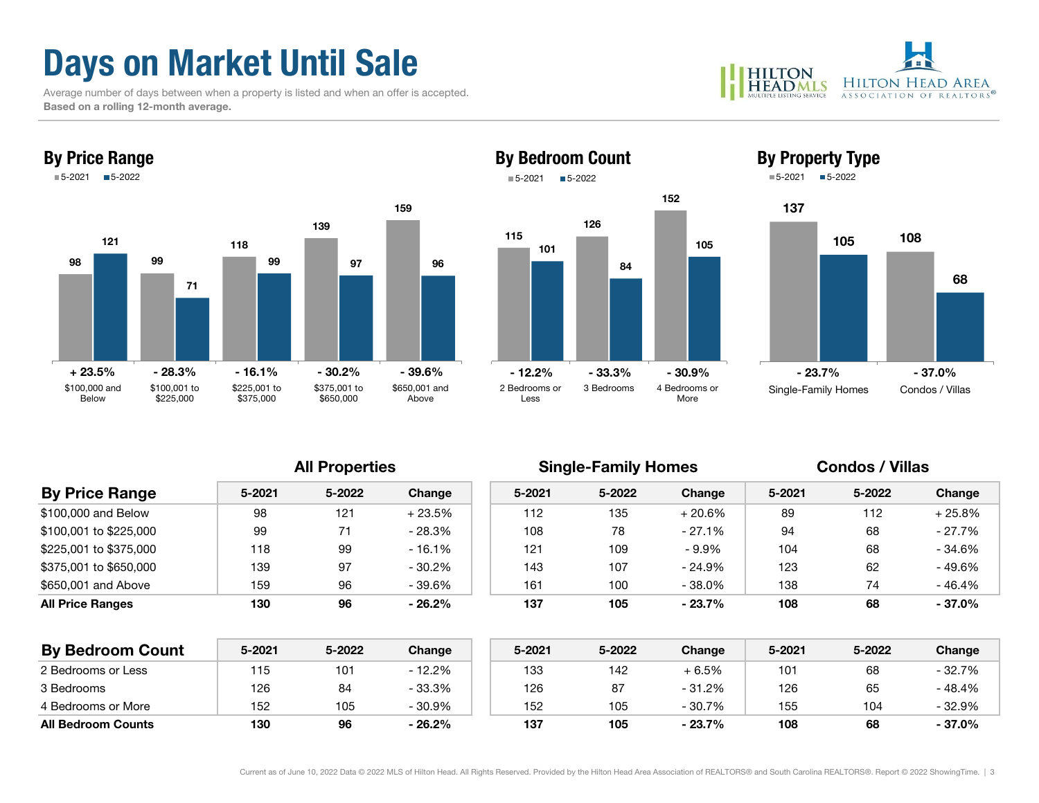# Days on Market Until Sale

 Average number of days between when a property is listed and when an offer is accepted. Based on a rolling 12-month average.





## 11512615210184 105By Bedroom Count 5-2021■5-2022





| <b>By Price Range</b>   | 5-2021 | 5-2022 | Change    | 5-2021 | 5-2022 | Change    | 5-2021 | 5-2022 |  |
|-------------------------|--------|--------|-----------|--------|--------|-----------|--------|--------|--|
| \$100,000 and Below     | 98     | 121    | $+23.5%$  | 112    | 135    | $+20.6\%$ | 89     | 112    |  |
| \$100,001 to \$225,000  | 99     |        | $-28.3%$  | 108    | 78     | $-27.1\%$ | 94     | 68     |  |
| \$225,001 to \$375,000  | 118    | 99     | $-16.1%$  | 121    | 109    | $-9.9%$   | 104    | 68     |  |
| \$375,001 to \$650,000  | 139    | 97     | $-30.2\%$ | 143    | 107    | - 24.9%   | 123    | 62     |  |
| \$650,001 and Above     | 159    | 96     | - 39.6%   | 161    | 100    | $-38.0\%$ | 138    | 74     |  |
| <b>All Price Ranges</b> | 130    | 96     | $-26.2\%$ | 137    | 105    | $-23.7\%$ | 108    | 68     |  |

| <b>By Bedroom Count</b>   | 5-2021 | 5-2022          | Change    | 5-2021 | 5-2022 | Change  | 5-2021 | 5-2022 | Change   |
|---------------------------|--------|-----------------|-----------|--------|--------|---------|--------|--------|----------|
| 2 Bedrooms or Less        | 115    | 10 <sub>1</sub> | - 12.2%   | 133    | 142    | $+6.5%$ | 101    | 68     | $-32.7%$ |
| 3 Bedrooms                | 126    | 84              | $-33.3%$  | 126    | 87     | - 31.2% | 126    | 65     | - 48.4%  |
| 4 Bedrooms or More        | 152    | 105             | - 30.9%   | 152    | 105    | - 30.7% | 155    | 104    | - 32.9%  |
| <b>All Bedroom Counts</b> | 130    | 96              | $-26.2\%$ | 137    | 105    | - 23.7% | 108    | 68     | $-37.0%$ |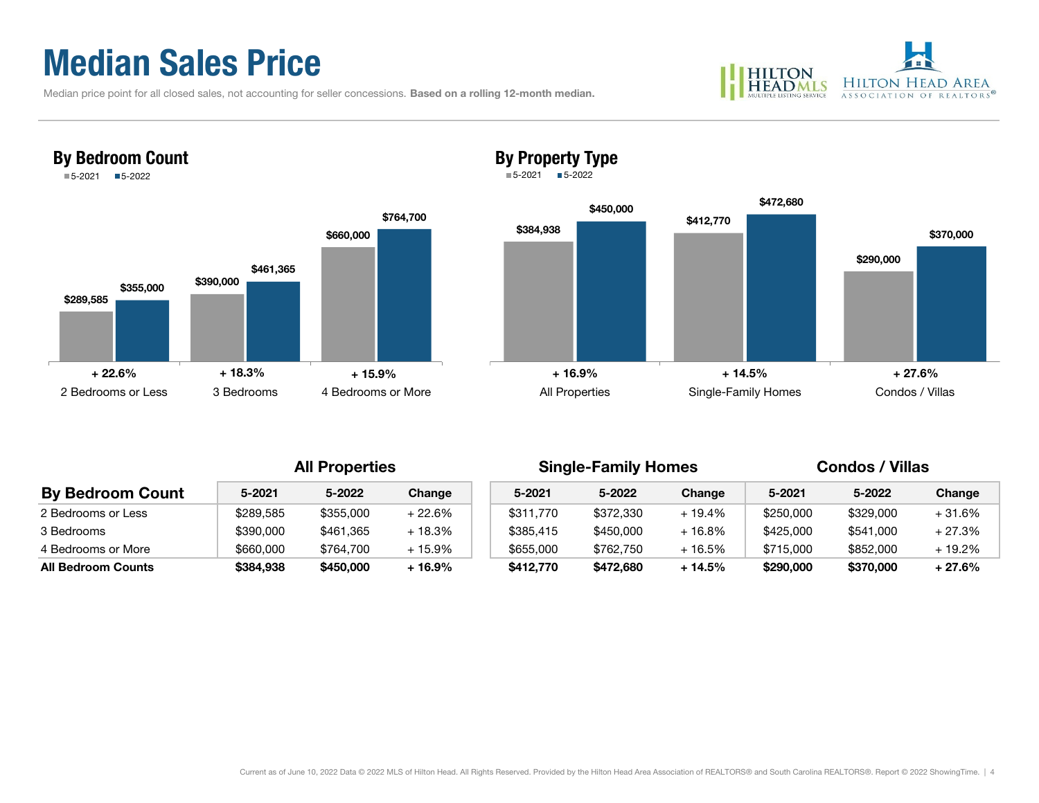## Median Sales Price

By Bedroom Count

■5-2022

5-2021

Median price point for all closed sales, not accounting for seller concessions. Based on a rolling 12-month median.





## \$384,938 **\$412,770** \$290,000 \$450,000 \$472,680 \$370,000 All Properties Single-Family Homes Condos / Villas 5-2021 5-2022  $\%$  + 27.6% + 16.9% + 16.9% + 14.5% + 27.6% + 27.6%

All Properties **Single-Family Homes** Condos / Villas

| <b>By Bedroom Count</b>   | 5-2021    | 5-2022    | Change  | 5-2021    | 5-2022    | Change  | 5-2021    | 5-2022    | Change  |
|---------------------------|-----------|-----------|---------|-----------|-----------|---------|-----------|-----------|---------|
| 2 Bedrooms or Less        | \$289.585 | \$355,000 | + 22.6% | \$311.770 | \$372,330 | + 19.4% | \$250,000 | \$329,000 | + 31.6% |
| 3 Bedrooms                | \$390,000 | \$461.365 | + 18.3% | \$385,415 | \$450,000 | + 16.8% | \$425,000 | \$541,000 | + 27.3% |
| 4 Bedrooms or More        | \$660,000 | \$764.700 | + 15.9% | \$655,000 | \$762,750 | + 16.5% | \$715,000 | \$852,000 | - 19.2% |
| <b>All Bedroom Counts</b> | \$384.938 | \$450,000 | + 16.9% | \$412,770 | \$472,680 | + 14.5% | \$290,000 | \$370,000 | + 27.6% |

By Property Type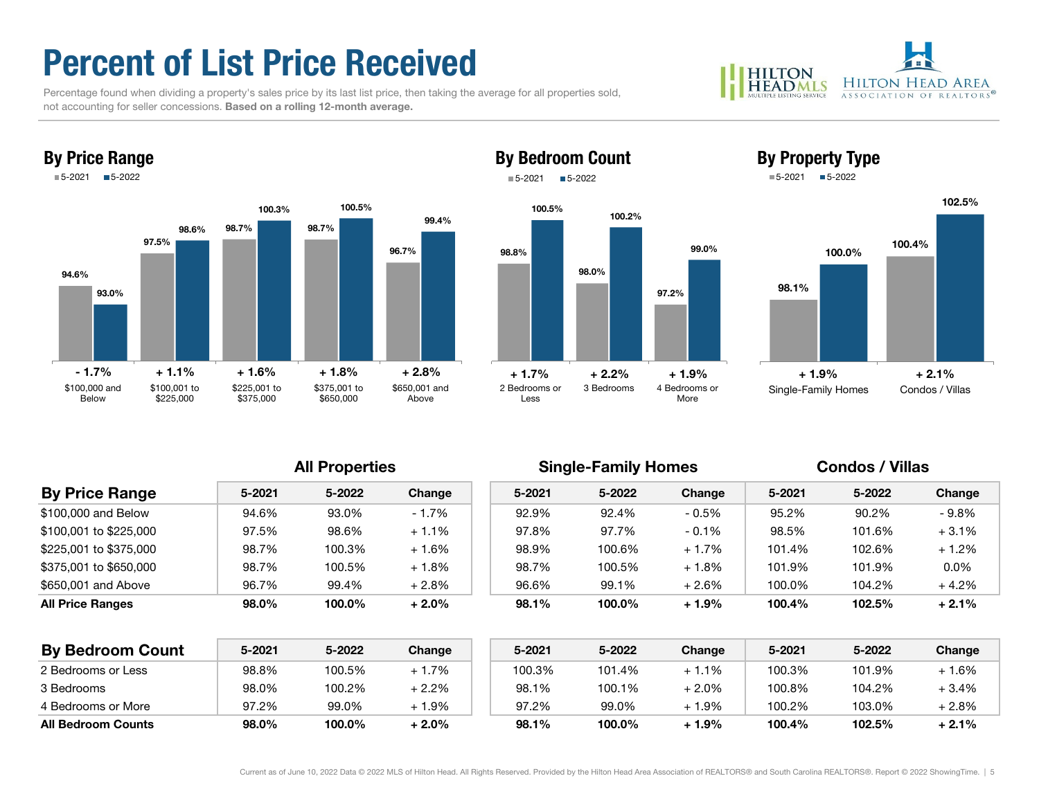## Percent of List Price Received

 Percentage found when dividing a property's sales price by its last list price, then taking the average for all properties sold, not accounting for seller concessions. Based on a rolling 12-month average.





### By Price Range

100.5%By Bedroom Count 5-2021■5-2022





5-2021 5-2022



| <b>By Price Range</b>   | 5-2021        | 5-2022 | Change   | $5 - 2021$    | 5-2022 | Change   | 5-2021        | 5-2022 | Change   |
|-------------------------|---------------|--------|----------|---------------|--------|----------|---------------|--------|----------|
| \$100,000 and Below     | 94.6%         | 93.0%  | - 1.7%   | 92.9%         | 92.4%  | $-0.5\%$ | 95.2%         | 90.2%  | - 9.8%   |
| \$100,001 to \$225,000  | 97.5%         | 98.6%  | $+1.1%$  | 97.8%         | 97.7%  | $-0.1\%$ | 98.5%         | 101.6% | $+3.1\%$ |
| \$225,001 to \$375,000  | 98.7%         | 100.3% | $+1.6%$  | 98.9%         | 100.6% | $+1.7%$  | 101.4%        | 102.6% | $+1.2%$  |
| \$375,001 to \$650,000  | 98.7%         | 100.5% | $+1.8%$  | 98.7%         | 100.5% | $+1.8%$  | 101.9%        | 101.9% | $0.0\%$  |
| \$650,001 and Above     | 96.7%         | 99.4%  | + 2.8%   | 96.6%         | 99.1%  | $+2.6%$  | 100.0%        | 104.2% | + 4.2%   |
| <b>All Price Ranges</b> | 98.0%         | 100.0% | $+2.0\%$ | 98.1%         | 100.0% | $+1.9%$  | 100.4%        | 102.5% | $+2.1%$  |
| <b>Dy Padroom Count</b> | <b>E 2021</b> | פפחפ ה | Chongo   | <b>E 2021</b> | פפחפ ה | Channa   | <b>E 2021</b> | ממחה ב | Change   |

| <b>By Bedroom Count</b>   | 5-2021 | 5-2022 | Change          | 5-2021 | 5-2022 | Change | 5-2021 | 5-2022 | Change   |
|---------------------------|--------|--------|-----------------|--------|--------|--------|--------|--------|----------|
| 2 Bedrooms or Less        | 98.8%  | 100.5% | + 1.7%          | 100.3% | 101.4% | + 1.1% | 100.3% | 101.9% | $-1.6\%$ |
| 3 Bedrooms                | 98.0%  | 100.2% | $-2.2\%$        | 98.1%  | 100.1% | + 2.0% | 100.8% | 104.2% | + 3.4%   |
| 4 Bedrooms or More        | 97.2%  | 99.0%  | $^{\prime}.9\%$ | 97.2%  | 99.0%  | + 1.9% | 100.2% | 103.0% | + 2.8%   |
| <b>All Bedroom Counts</b> | 98.0%  | 100.0% | + 2.0%          | 98.1%  | 100.0% | + 1.9% | 100.4% | 102.5% | $+2.1%$  |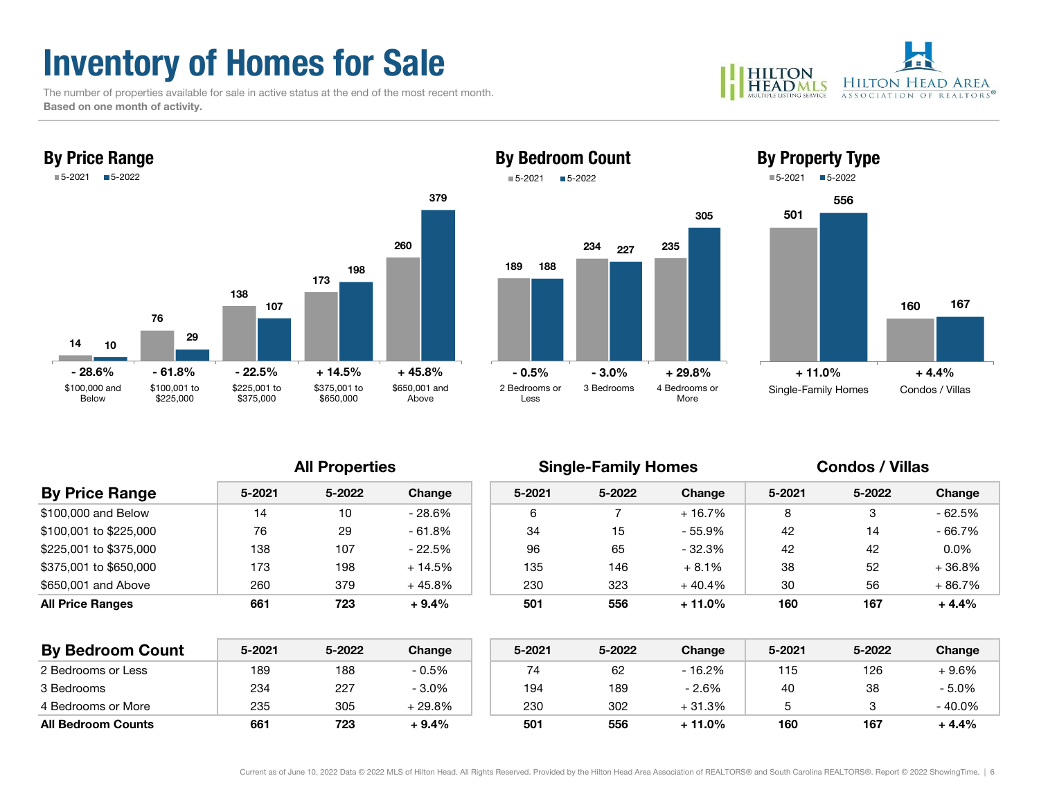## Inventory of Homes for Sale

 The number of properties available for sale in active status at the end of the most recent month. Based on one month of activity.









| <b>By Price Range</b>   | 5-2021 | 5-2022 | Change   | $5 - 2021$ | 5-2022 | Change    | 5-2021 | 5-2022 | Change   |
|-------------------------|--------|--------|----------|------------|--------|-----------|--------|--------|----------|
| \$100,000 and Below     | 14     | 10     | - 28.6%  | 6          |        | $+16.7\%$ | 8      | 3      | $-62.5%$ |
| \$100.001 to \$225.000  | 76     | 29     | - 61.8%  | 34         | 15     | - 55.9%   | 42     | 14     | $-66.7%$ |
| \$225.001 to \$375.000  | 138    | 107    | - 22.5%  | 96         | 65     | - 32.3%   | 42     | 42     | $0.0\%$  |
| \$375.001 to \$650.000  | 173    | 198    | $+14.5%$ | 135        | 146    | $+8.1%$   | 38     | 52     | $+36.8%$ |
| \$650,001 and Above     | 260    | 379    | + 45.8%  | 230        | 323    | $+40.4%$  | 30     | 56     | $+86.7%$ |
| <b>All Price Ranges</b> | 661    | 723    | $+9.4%$  | 501        | 556    | $+11.0%$  | 160    | 167    | $+4.4%$  |
|                         |        |        |          |            |        |           |        |        |          |

| <b>By Bedroom Count</b>   | 5-2021 | 5-2022 | Change  | 5-2021 | 5-2022 | Change   | 5-2021 | 5-2022 | Change  |
|---------------------------|--------|--------|---------|--------|--------|----------|--------|--------|---------|
| 2 Bedrooms or Less        | 189    | 188    | $-0.5%$ | 74     | 62     | $-16.2%$ | 115    | 126    | - 9.6%  |
| 3 Bedrooms                | 234    | 227    | $-3.0%$ | 194    | 189    | $-2.6%$  | 40     | 38     | $-5.0%$ |
| 4 Bedrooms or More        | 235    | 305    | + 29.8% | 230    | 302    | + 31.3%  |        |        | - 40.0% |
| <b>All Bedroom Counts</b> | 661    | 723    | $9.4\%$ | 501    | 556    | + 11.0%  | 160    | 167    | + 4.4%  |